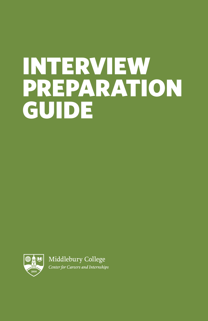# INTERVIEW PREPARATION GUIDE

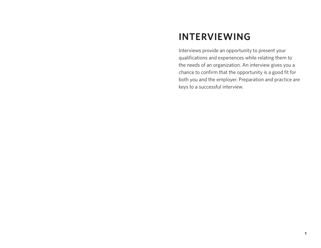# **INTERVIEWING**

Interviews provide an opportunity to present your qualifications and experiences while relating them to the needs of an organization. An interview gives you a chance to confirm that the opportunity is a good fit for both you and the employer. Preparation and practice are keys to a successful interview.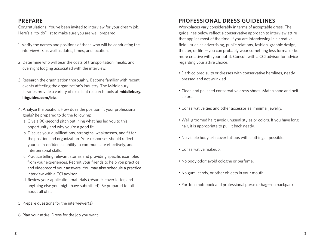Congratulations! You've been invited to interview for your dream job. Here's a "to-do" list to make sure you are well prepared.

- 1. Verify the names and positions of those who will be conducting the interview(s), as well as dates, times, and location.
- 2. Determine who will bear the costs of transportation, meals, and overnight lodging associated with the interview.
- 3. Research the organization thoroughly. Become familiar with recent events affecting the organization's industry. The Middlebury libraries provide a variety of excellent research tools at **middlebury. libguides.com/biz**.
- 4. Analyze the position. How does the position fit your professional goals? Be prepared to do the following:
	- a. Give a 90-second pitch outlining what has led you to this opportunity and why you're a good fit.
	- b. Discuss your qualifications, strengths, weaknesses, and fit for the position and organization. Your responses should reflect your self-confidence, ability to communicate effectively, and interpersonal skills.
	- c. Practice telling relevant stories and providing specific examples from your experiences. Recruit your friends to help you practice and videorecord your answers. You may also schedule a practice interview with a CCI advisor.
	- d. Review your application materials (résumé, cover letter, and anything else you might have submitted). Be prepared to talk about all of it.
- 5. Prepare questions for the interviewer(s).
- 6. Plan your attire. Dress for the job you want.

# **PROFESSIONAL DRESS GUIDELINES**

Workplaces vary considerably in terms of acceptable dress. The guidelines below reflect a conservative approach to interview attire that applies most of the time. If you are interviewing in a creative field—such as advertising, public relations, fashion, graphic design, theater, or film—you can probably wear something less formal or be more creative with your outfit. Consult with a CCI advisor for advice regarding your attire choice.

- Dark-colored suits or dresses with conservative hemlines, neatly pressed and not wrinkled.
- Clean and polished conservative dress shoes. Match shoe and belt colors.
- Conservative ties and other accessories, minimal jewelry.
- Well-groomed hair; avoid unusual styles or colors. If you have long hair, it is appropriate to pull it back neatly.
- No visible body art; cover tattoos with clothing, if possible.
- Conservative makeup.
- No body odor; avoid cologne or perfume.
- No gum, candy, or other objects in your mouth.
- Portfolio notebook and professional purse or bag—no backpack.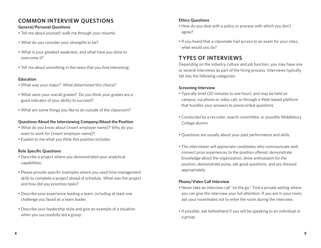# **COMMON INTERVIEW QUESTIONS**

#### **General/Personal Questions**

- Tell me about yourself; walk me through your résumé.
- What do you consider your strengths to be?
- What is your greatest weakness, and what have you done to overcome it?
- Tell me about something in the news that you find interesting.

#### **Education**

- What was your major? What determined this choice?
- What were your overall grades? Do you think your grades are a good indicator of your ability to succeed?
- What are some things you like to do outside of the classroom?

#### **Questions About the Interviewing Company/About the Position**

- What do you know about [insert employer name]? Why do you want to work for [insert employer name]?
- Explain to me what you think this position includes.

#### **Role Specific Questions**

- Describe a project where you demonstrated your analytical capabilities.
- Please provide specific examples where you used time management skills to complete a project ahead of schedule. What was the project and how did you prioritize tasks?
- Describe your experience leading a team, including at least one challenge you faced as a team leader.
- Describe your leadership style and give an example of a situation when you successfully led a group.

#### **Ethics Questions**

- How do you deal with a policy or process with which you don't agree?
- If you heard that a classmate had access to an exam for your class, what would you do?

# **TYPES OF INTERVIEWS**

Depending on the industry culture and job function, you may have one or several interviews as part of the hiring process. Interviews typically fall into the following categories:

#### **Screening Interview**

- Typically brief (20 minutes to one hour), and may be held on campus, via phone or video call, or through a Web-based platform that bundles your answers to prerecorded questions.
- Conducted by a recruiter, search committee, or possibly Middlebury College alumni.
- Questions are usually about your past performance and skills.
- The interviewer will appreciate candidates who communicate well, connect prior experiences to the position offered, demonstrate knowledge about the organization, show enthusiasm for the position, demonstrate poise, ask good questions, and are dressed appropriately.

#### **Phone/Video Call Interview**

- Never take an interview call "on the go." Find a private setting where you can give the interview your full attention. If you are in your room, ask your roommates not to enter the room during the interview.
- If possible, ask beforehand if you will be speaking to an individual or a group.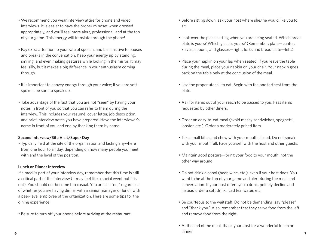- We recommend you wear interview attire for phone and video interviews. It is easier to have the proper mindset when dressed appropriately, and you'll feel more alert, professional, and at the top of your game. This energy will translate through the phone!
- Pay extra attention to your rate of speech, and be sensitive to pauses and breaks in the conversation. Keep your energy up by standing, smiling, and even making gestures while looking in the mirror. It may feel silly, but it makes a big difference in your enthusiasm coming through.
- It is important to convey energy through your voice; if you are softspoken, be sure to speak up.
- Take advantage of the fact that you are not "seen" by having your notes in front of you so that you can refer to them during the interview. This includes your résumé, cover letter, job description, and brief interview notes you have prepared. Have the interviewer's name in front of you and end by thanking them by name.

#### **Second Interview/Site Visit/Super Day**

• Typically held at the site of the organization and lasting anywhere from one hour to all day, depending on how many people you meet with and the level of the position.

#### **Lunch or Dinner Interview**

If a meal is part of your interview day, remember that this time is still a critical part of the interview (it may feel like a social event but it is not). You should not become too casual. You are still "on," regardless of whether you are having dinner with a senior manager or lunch with a peer-level employee of the organization. Here are some tips for the dining experience:

• Be sure to turn off your phone before arriving at the restaurant.

- Before sitting down, ask your host where she/he would like you to sit.
- Look over the place setting when you are being seated. Which bread plate is yours? Which glass is yours? (Remember: plate—center; knives, spoons, and glasses—right; forks and bread plate—left.)
- Place your napkin on your lap when seated. If you leave the table during the meal, place your napkin on your chair. Your napkin goes back on the table only at the conclusion of the meal.
- Use the proper utensil to eat. Begin with the one farthest from the plate.
- Ask for items out of your reach to be passed to you. Pass items requested by other diners.
- Order an easy-to-eat meal (avoid messy sandwiches, spaghetti, lobster, etc.). Order a moderately priced item.
- Take small bites and chew with your mouth closed. Do not speak with your mouth full. Pace yourself with the host and other guests.
- Maintain good posture—bring your food to your mouth, not the other way around.
- Do not drink alcohol (beer, wine, etc.), even if your host does. You want to be at the top of your game and alert during the meal and conversation. If your host offers you a drink, politely decline and instead order a soft drink, iced tea, water, etc.
- Be courteous to the waitstaff. Do not be demanding; say "please" and "thank you." Also, remember that they serve food from the left and remove food from the right.
- **6 7** • At the end of the meal, thank your host for a wonderful lunch or dinner.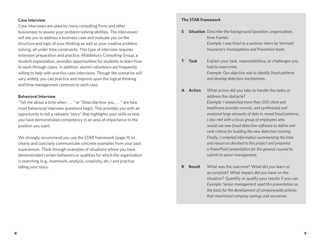#### **Case Interview**

Case interviews are used by many consulting firms and other businesses to assess your problem-solving abilities. The interviewer will ask you to address a business case and evaluate you on the structure and logic of your thinking as well as your creative problem solving, all under time constraints. This type of interview requires extensive preparation and practice. Middlebury Consulting Group, a student organization, provides opportunities for students to learn how to work through cases. In addition, alumni volunteers are frequently willing to help with practice case interviews. Though the scenarios will vary widely, you can practice and improve upon the logical thinking and time management common to each case.

#### **Behavioral Interview**

"Tell me about a time when . . . " or "Describe how you . . . " are how most behavioral interview questions begin. This provides you with an opportunity to tell a relevant "story" that highlights your skills or how you have demonstrated competency in an area of importance to the position you want.

We strongly recommend you use the STAR framework (page 9) to clearly and concisely communicate concrete examples from your past experiences. Think through examples of situations where you have demonstrated certain behaviors or qualities for which the organization is searching (e.g., teamwork, analysis, creativity, etc.) and practice telling your story.

#### **The STAR Framework**

**S Situation** Describe the background (position, organization, time frame).

> *Example: I was hired as a summer intern by Vermont Insurance's Investigations and Prevention team.*

- **T Task** Explain your task, responsibilities, or challenges you had to overcome. *Example: Our objective was to identify fraud patterns and develop detection mechanisms.*
- **A Action** What action did you take to handle the tasks or address the obstacle? *Example: I researched more than 500 client and healthcare provider records, and synthesized and analyzed large amounts of data to reveal fraud patterns. I also met with a focus group of employees who* 
	- *would use new fraud detection software to define and rank criteria for building the new detection training. Finally, I compiled information summarizing the time and resources devoted to this project and prepared a PowerPoint presentation for the general counsel to submit to senior management.*
- **R Result** What was the outcome? What did you learn or accomplish? What impact did you have on the situation? Quantify or qualify your results if you can. *Example: Senior management used this presentation as the basis for the development of companywide policies that maximized company savings and recoveries.*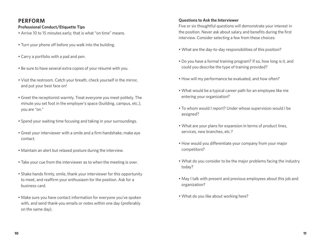# **PERFORM**

#### **Professional Conduct/Etiquette Tips**

• Arrive 10 to 15 minutes early; that is what "on time" means.

- Turn your phone off before you walk into the building.
- Carry a portfolio with a pad and pen.
- Be sure to have several extra copies of your résumé with you.
- Visit the restroom. Catch your breath, check yourself in the mirror, and put your best face on!
- Greet the receptionist warmly. Treat everyone you meet politely. The minute you set foot in the employer's space (building, campus, etc.), you are "on."
- Spend your waiting time focusing and taking in your surroundings.
- Greet your interviewer with a smile and a firm handshake; make eye contact.
- Maintain an alert but relaxed posture during the interview.
- Take your cue from the interviewer as to when the meeting is over.
- Shake hands firmly, smile, thank your interviewer for this opportunity to meet, and reaffirm your enthusiasm for the position. Ask for a business card.
- Make sure you have contact information for everyone you've spoken with, and send thank-you emails or notes within one day (preferably on the same day).

#### **Questions to Ask the Interviewer**

Five or six thoughtful questions will demonstrate your interest in the position. Never ask about salary and benefits during the first interview. Consider selecting a few from these choices:

- What are the day-to-day responsibilities of this position?
- Do you have a formal training program? If so, how long is it, and could you describe the type of training provided?
- How will my performance be evaluated, and how often?
- What would be a typical career path for an employee like me entering your organization?
- To whom would I report? Under whose supervision would I be assigned?
- What are your plans for expansion in terms of product lines, services, new branches, etc.?
- How would you differentiate your company from your major competitors?
- What do you consider to be the major problems facing the industry today?
- May I talk with present and previous employees about this job and organization?
- What do you like about working here?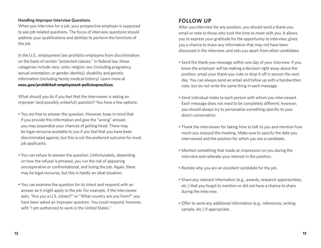#### **Handling Improper Interview Questions**

When you interview for a job, your prospective employer is supposed to ask job-related questions. The focus of interview questions should address your qualifications and abilities to perform the functions of the job.

In the U.S., employment law prohibits employers from discrimination on the basis of certain "protected classes." In federal law, these categories include race, color, religion, sex (including pregnancy, sexual orientation, or gender identity), disability and genetic information (including family medical history). Learn more at **eeoc.gov/prohibited-employment-policiespractices**.

What should you do if you feel that the interviewer is asking an improper (and possibly unlawful) question? You have a few options:

- You are free to answer the question. However, keep in mind that if you provide this information and give the "wrong" answer, you may jeopardize your chances of getting hired. There may be legal recourse available to you if you feel that you have been discriminated against, but this is not the preferred outcome for most job applicants.
- You can refuse to answer the question. Unfortunately, depending on how the refusal is phrased, you run the risk of appearing uncooperative or confrontational, and losing the job. Again, there may be legal recourse, but this is hardly an ideal situation.
- You can examine the question for its intent and respond with an answer as it might apply to the job. For example, if the interviewer asks, "Are you a U.S. citizen?" or "What country are you from?" you have been asked an improper question. You could respond, however, with "I am authorized to work in the United States."

# **FOLLOW UP**

After you interview for any position, you should send a thank-you email or note to those who took the time to meet with you. It allows you to express your gratitude for the opportunity to interview, gives you a chance to share any information that may not have been discussed in the interview, and sets you apart from other candidates.

- Send the thank-you message within one day of your interview. If you know the employer will be making a decision right away about the position, email your thank-you note or drop it off in person the next day. You can always send an email and follow up with a handwritten note, but do not write the same thing in each message.
- Send individual notes to each person with whom you interviewed. Each message does not need to be completely different; however, you should always try to personalize something specific to your direct conversation.
- Thank the interviewer for taking time to talk to you and mention how much you enjoyed the meeting. Make sure to specify the date you interviewed and the position for which you are a candidate.
- Mention something that made an impression on you during the interview and reiterate your interest in the position.
- Restate why you are an excellent candidate for the job.
- Share any relevant information (e.g., awards, research opportunities, etc.) that you forgot to mention or did not have a chance to share during the interview.
- Offer to send any additional information (e.g., references, writing sample, etc.) if appropriate.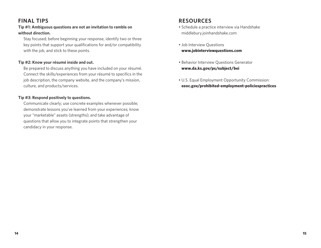# **FINAL TIPS**

#### **Tip #1: Ambiguous questions are not an invitation to ramble on without direction.**

 Stay focused; before beginning your response, identify two or three key points that support your qualifications for and/or compatibility with the job, and stick to these points.

#### **Tip #2: Know your résumé inside and out.**

 Be prepared to discuss anything you have included on your résumé. Connect the skills/experiences from your résumé to specifics in the job description, the company website, and the company's mission, culture, and products/services.

#### **Tip #3: Respond positively to questions.**

 Communicate clearly; use concrete examples whenever possible; demonstrate lessons you've learned from your experiences; know your "marketable" assets (strengths); and take advantage of questions that allow you to integrate points that strengthen your candidacy in your response.

### **RESOURCES**

- Schedule a practice interview via Handshake middlebury.joinhandshake.com
- Job Interview Questions **www.jobinterviewquestions.com**
- Behavior Interview Questions Generator **www.da.ks.gov/ps/subject/bei**
- U.S. Equal Employment Opportunity Commission: **eeoc.gov/prohibited-employment-policiespractices**